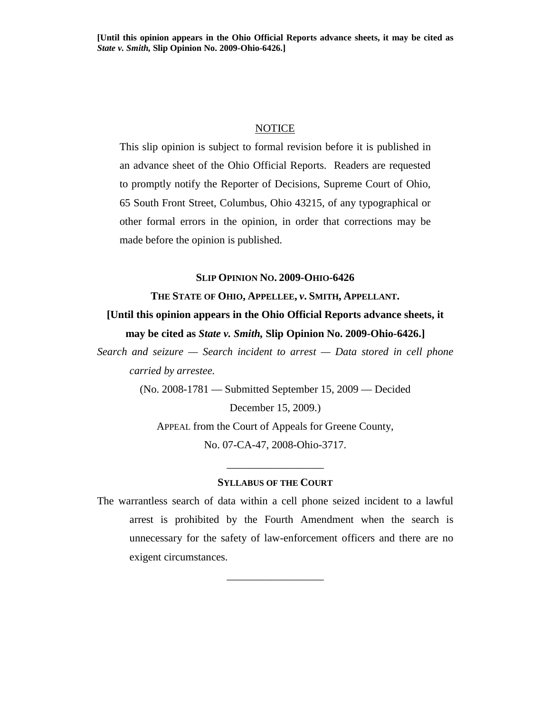#### NOTICE

This slip opinion is subject to formal revision before it is published in an advance sheet of the Ohio Official Reports. Readers are requested to promptly notify the Reporter of Decisions, Supreme Court of Ohio, 65 South Front Street, Columbus, Ohio 43215, of any typographical or other formal errors in the opinion, in order that corrections may be made before the opinion is published.

#### **SLIP OPINION NO. 2009-OHIO-6426**

## **THE STATE OF OHIO, APPELLEE,** *v***. SMITH, APPELLANT.**

# **[Until this opinion appears in the Ohio Official Reports advance sheets, it may be cited as** *State v. Smith,* **Slip Opinion No. 2009-Ohio-6426.]**

*Search and seizure — Search incident to arrest — Data stored in cell phone carried by arrestee.* 

(No. 2008-1781 — Submitted September 15, 2009 — Decided

December 15, 2009.)

APPEAL from the Court of Appeals for Greene County, No. 07-CA-47, 2008-Ohio-3717.

#### **SYLLABUS OF THE COURT**

\_\_\_\_\_\_\_\_\_\_\_\_\_\_\_\_\_\_

The warrantless search of data within a cell phone seized incident to a lawful arrest is prohibited by the Fourth Amendment when the search is unnecessary for the safety of law-enforcement officers and there are no exigent circumstances.

\_\_\_\_\_\_\_\_\_\_\_\_\_\_\_\_\_\_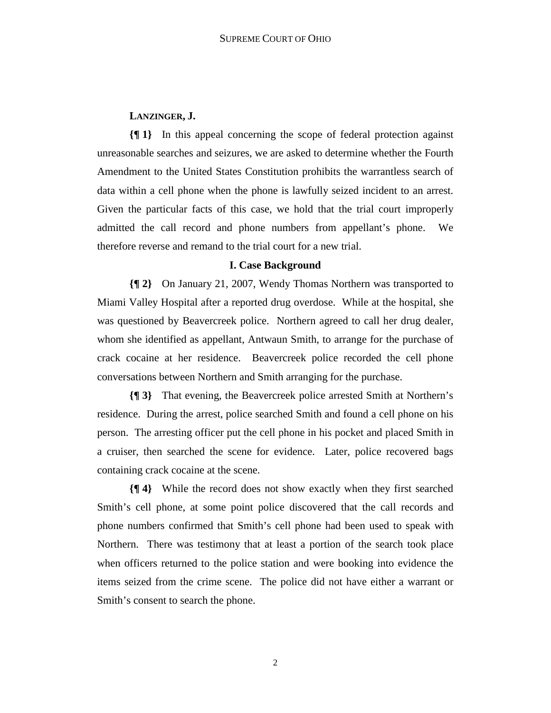## **LANZINGER, J.**

**{¶ 1}** In this appeal concerning the scope of federal protection against unreasonable searches and seizures, we are asked to determine whether the Fourth Amendment to the United States Constitution prohibits the warrantless search of data within a cell phone when the phone is lawfully seized incident to an arrest. Given the particular facts of this case, we hold that the trial court improperly admitted the call record and phone numbers from appellant's phone. We therefore reverse and remand to the trial court for a new trial.

#### **I. Case Background**

**{¶ 2}** On January 21, 2007, Wendy Thomas Northern was transported to Miami Valley Hospital after a reported drug overdose. While at the hospital, she was questioned by Beavercreek police. Northern agreed to call her drug dealer, whom she identified as appellant, Antwaun Smith, to arrange for the purchase of crack cocaine at her residence. Beavercreek police recorded the cell phone conversations between Northern and Smith arranging for the purchase.

**{¶ 3}** That evening, the Beavercreek police arrested Smith at Northern's residence. During the arrest, police searched Smith and found a cell phone on his person. The arresting officer put the cell phone in his pocket and placed Smith in a cruiser, then searched the scene for evidence. Later, police recovered bags containing crack cocaine at the scene.

**{¶ 4}** While the record does not show exactly when they first searched Smith's cell phone, at some point police discovered that the call records and phone numbers confirmed that Smith's cell phone had been used to speak with Northern. There was testimony that at least a portion of the search took place when officers returned to the police station and were booking into evidence the items seized from the crime scene. The police did not have either a warrant or Smith's consent to search the phone.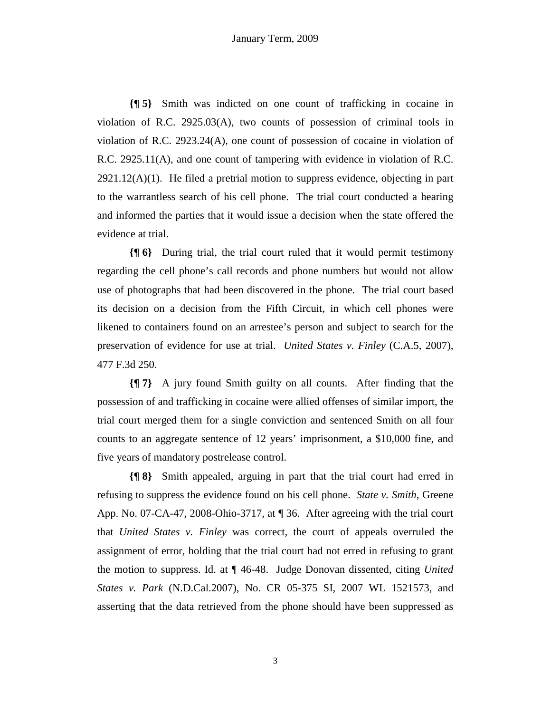**{¶ 5}** Smith was indicted on one count of trafficking in cocaine in violation of R.C. 2925.03(A), two counts of possession of criminal tools in violation of R.C. 2923.24(A), one count of possession of cocaine in violation of R.C. 2925.11(A), and one count of tampering with evidence in violation of R.C.  $2921.12(A)(1)$ . He filed a pretrial motion to suppress evidence, objecting in part to the warrantless search of his cell phone. The trial court conducted a hearing and informed the parties that it would issue a decision when the state offered the evidence at trial.

**{¶ 6}** During trial, the trial court ruled that it would permit testimony regarding the cell phone's call records and phone numbers but would not allow use of photographs that had been discovered in the phone. The trial court based its decision on a decision from the Fifth Circuit, in which cell phones were likened to containers found on an arrestee's person and subject to search for the preservation of evidence for use at trial. *United States v. Finley* (C.A.5, 2007), 477 F.3d 250.

**{¶ 7}** A jury found Smith guilty on all counts. After finding that the possession of and trafficking in cocaine were allied offenses of similar import, the trial court merged them for a single conviction and sentenced Smith on all four counts to an aggregate sentence of 12 years' imprisonment, a \$10,000 fine, and five years of mandatory postrelease control.

**{¶ 8}** Smith appealed, arguing in part that the trial court had erred in refusing to suppress the evidence found on his cell phone. *State v. Smith*, Greene App. No. 07-CA-47, 2008-Ohio-3717, at ¶ 36. After agreeing with the trial court that *United States v. Finley* was correct, the court of appeals overruled the assignment of error, holding that the trial court had not erred in refusing to grant the motion to suppress. Id. at ¶ 46-48. Judge Donovan dissented, citing *United States v. Park* (N.D.Cal.2007), No. CR 05-375 SI, 2007 WL 1521573, and asserting that the data retrieved from the phone should have been suppressed as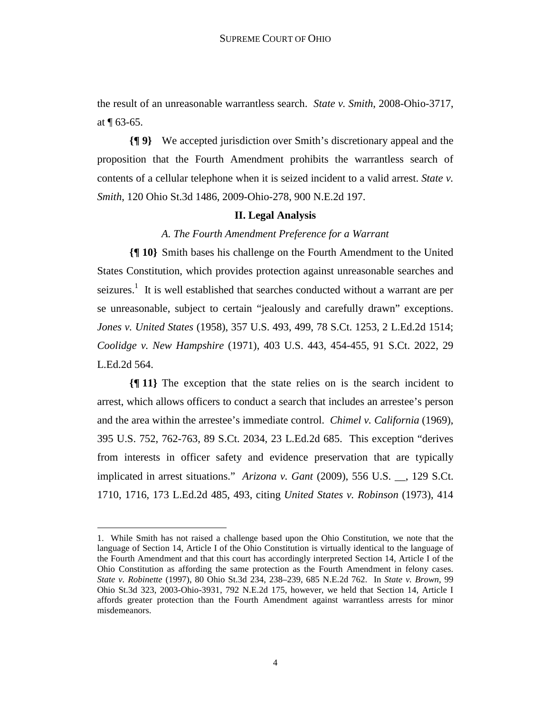the result of an unreasonable warrantless search. *State v. Smith*, 2008-Ohio-3717, at ¶ 63-65.

**{¶ 9}** We accepted jurisdiction over Smith's discretionary appeal and the proposition that the Fourth Amendment prohibits the warrantless search of contents of a cellular telephone when it is seized incident to a valid arrest. *State v. Smith*, 120 Ohio St.3d 1486, 2009-Ohio-278, 900 N.E.2d 197.

### **II. Legal Analysis**

### *A. The Fourth Amendment Preference for a Warrant*

**{¶ 10}** Smith bases his challenge on the Fourth Amendment to the United States Constitution, which provides protection against unreasonable searches and seizures.<sup>1</sup> It is well established that searches conducted without a warrant are per se unreasonable, subject to certain "jealously and carefully drawn" exceptions. *Jones v. United States* (1958), 357 U.S. 493, 499, 78 S.Ct. 1253, 2 L.Ed.2d 1514; *Coolidge v. New Hampshire* (1971), 403 U.S. 443, 454-455, 91 S.Ct. 2022, 29 L.Ed.2d 564.

**{¶ 11}** The exception that the state relies on is the search incident to arrest, which allows officers to conduct a search that includes an arrestee's person and the area within the arrestee's immediate control. *Chimel v. California* (1969), 395 U.S. 752, 762-763, 89 S.Ct. 2034, 23 L.Ed.2d 685. This exception "derives from interests in officer safety and evidence preservation that are typically implicated in arrest situations." *Arizona v. Gant* (2009), 556 U.S. \_\_, 129 S.Ct. 1710, 1716, 173 L.Ed.2d 485, 493, citing *United States v. Robinson* (1973), 414

<sup>1.</sup> While Smith has not raised a challenge based upon the Ohio Constitution, we note that the language of Section 14, Article I of the Ohio Constitution is virtually identical to the language of the Fourth Amendment and that this court has accordingly interpreted Section 14, Article I of the Ohio Constitution as affording the same protection as the Fourth Amendment in felony cases. *State v. Robinette* (1997), 80 Ohio St.3d 234, 238–239, 685 N.E.2d 762. In *State v. Brown*, 99 Ohio St.3d 323, 2003-Ohio-3931, 792 N.E.2d 175, however, we held that Section 14, Article I affords greater protection than the Fourth Amendment against warrantless arrests for minor misdemeanors.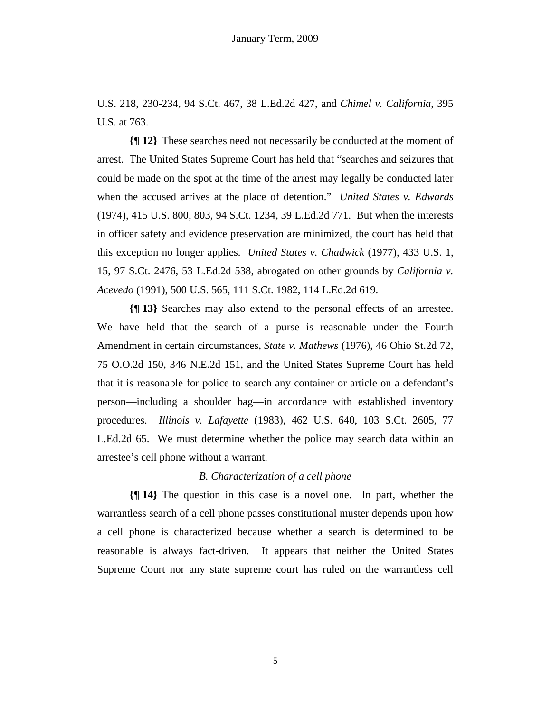U.S. 218, 230-234, 94 S.Ct. 467, 38 L.Ed.2d 427, and *Chimel v. California*, 395 U.S. at 763.

**{¶ 12}** These searches need not necessarily be conducted at the moment of arrest. The United States Supreme Court has held that "searches and seizures that could be made on the spot at the time of the arrest may legally be conducted later when the accused arrives at the place of detention." *United States v. Edwards* (1974), 415 U.S. 800, 803, 94 S.Ct. 1234, 39 L.Ed.2d 771. But when the interests in officer safety and evidence preservation are minimized, the court has held that this exception no longer applies. *United States v. Chadwick* (1977), 433 U.S. 1, 15, 97 S.Ct. 2476, 53 L.Ed.2d 538, abrogated on other grounds by *California v. Acevedo* (1991), 500 U.S. 565, 111 S.Ct. 1982, 114 L.Ed.2d 619.

**{¶ 13}** Searches may also extend to the personal effects of an arrestee. We have held that the search of a purse is reasonable under the Fourth Amendment in certain circumstances, *State v. Mathews* (1976), 46 Ohio St.2d 72, 75 O.O.2d 150, 346 N.E.2d 151, and the United States Supreme Court has held that it is reasonable for police to search any container or article on a defendant's person—including a shoulder bag—in accordance with established inventory procedures. *Illinois v. Lafayette* (1983), 462 U.S. 640, 103 S.Ct. 2605, 77 L.Ed.2d 65. We must determine whether the police may search data within an arrestee's cell phone without a warrant.

#### *B. Characterization of a cell phone*

**{¶ 14}** The question in this case is a novel one. In part, whether the warrantless search of a cell phone passes constitutional muster depends upon how a cell phone is characterized because whether a search is determined to be reasonable is always fact-driven. It appears that neither the United States Supreme Court nor any state supreme court has ruled on the warrantless cell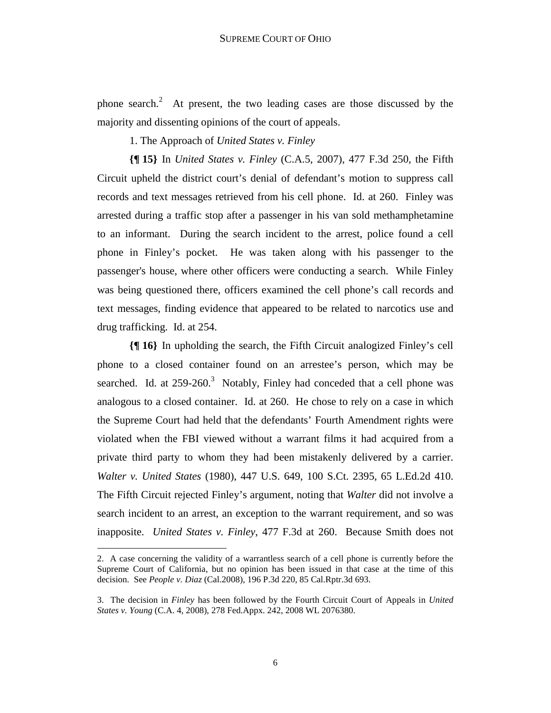phone search.<sup>2</sup> At present, the two leading cases are those discussed by the majority and dissenting opinions of the court of appeals.

1. The Approach of *United States v. Finley*

**{¶ 15}** In *United States v. Finley* (C.A.5, 2007), 477 F.3d 250, the Fifth Circuit upheld the district court's denial of defendant's motion to suppress call records and text messages retrieved from his cell phone. Id. at 260. Finley was arrested during a traffic stop after a passenger in his van sold methamphetamine to an informant. During the search incident to the arrest, police found a cell phone in Finley's pocket. He was taken along with his passenger to the passenger's house, where other officers were conducting a search. While Finley was being questioned there, officers examined the cell phone's call records and text messages, finding evidence that appeared to be related to narcotics use and drug trafficking. Id. at 254.

**{¶ 16}** In upholding the search, the Fifth Circuit analogized Finley's cell phone to a closed container found on an arrestee's person, which may be searched. Id. at  $259-260$ <sup>3</sup> Notably, Finley had conceded that a cell phone was analogous to a closed container. Id. at 260. He chose to rely on a case in which the Supreme Court had held that the defendants' Fourth Amendment rights were violated when the FBI viewed without a warrant films it had acquired from a private third party to whom they had been mistakenly delivered by a carrier. *Walter v. United States* (1980), 447 U.S. 649, 100 S.Ct. 2395, 65 L.Ed.2d 410. The Fifth Circuit rejected Finley's argument, noting that *Walter* did not involve a search incident to an arrest, an exception to the warrant requirement, and so was inapposite. *United States v. Finley*, 477 F.3d at 260. Because Smith does not

<u>.</u>

<sup>2.</sup> A case concerning the validity of a warrantless search of a cell phone is currently before the Supreme Court of California, but no opinion has been issued in that case at the time of this decision. See *People v. Diaz* (Cal.2008), 196 P.3d 220, 85 Cal.Rptr.3d 693.

<sup>3.</sup> The decision in *Finley* has been followed by the Fourth Circuit Court of Appeals in *United States v. Young* (C.A. 4, 2008), 278 Fed.Appx. 242, 2008 WL 2076380.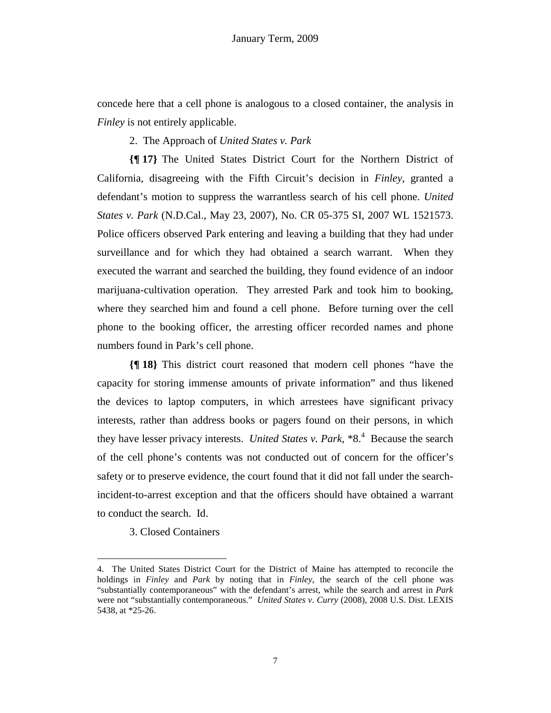concede here that a cell phone is analogous to a closed container, the analysis in *Finley* is not entirely applicable.

2. The Approach of *United States v. Park*

**{¶ 17}** The United States District Court for the Northern District of California, disagreeing with the Fifth Circuit's decision in *Finley*, granted a defendant's motion to suppress the warrantless search of his cell phone. *United States v. Park* (N.D.Cal., May 23, 2007), No. CR 05-375 SI, 2007 WL 1521573. Police officers observed Park entering and leaving a building that they had under surveillance and for which they had obtained a search warrant. When they executed the warrant and searched the building, they found evidence of an indoor marijuana-cultivation operation. They arrested Park and took him to booking, where they searched him and found a cell phone. Before turning over the cell phone to the booking officer, the arresting officer recorded names and phone numbers found in Park's cell phone.

**{¶ 18}** This district court reasoned that modern cell phones "have the capacity for storing immense amounts of private information" and thus likened the devices to laptop computers, in which arrestees have significant privacy interests, rather than address books or pagers found on their persons, in which they have lesser privacy interests. *United States v. Park*,  $*8<sup>4</sup>$  Because the search of the cell phone's contents was not conducted out of concern for the officer's safety or to preserve evidence, the court found that it did not fall under the searchincident-to-arrest exception and that the officers should have obtained a warrant to conduct the search. Id.

3. Closed Containers

<sup>4.</sup> The United States District Court for the District of Maine has attempted to reconcile the holdings in *Finley* and *Park* by noting that in *Finley*, the search of the cell phone was "substantially contemporaneous" with the defendant's arrest, while the search and arrest in *Park*  were not "substantially contemporaneous." *United States v. Curry* (2008), 2008 U.S. Dist. LEXIS 5438, at \*25-26.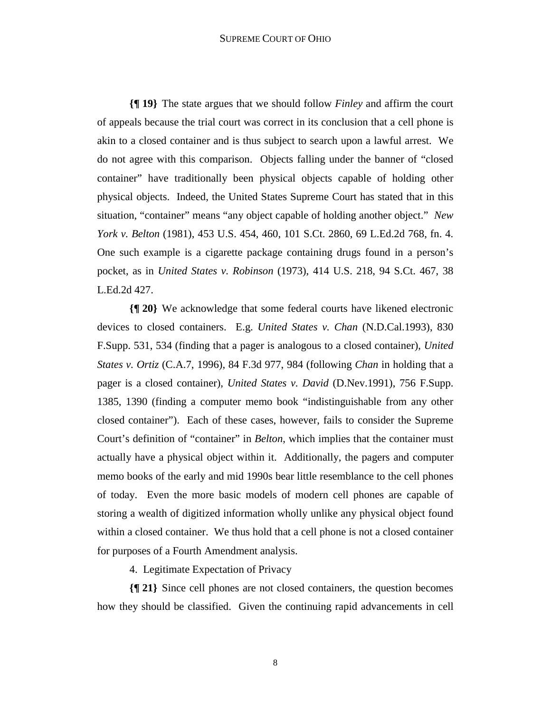#### SUPREME COURT OF OHIO

**{¶ 19}** The state argues that we should follow *Finley* and affirm the court of appeals because the trial court was correct in its conclusion that a cell phone is akin to a closed container and is thus subject to search upon a lawful arrest. We do not agree with this comparison. Objects falling under the banner of "closed container" have traditionally been physical objects capable of holding other physical objects. Indeed, the United States Supreme Court has stated that in this situation, "container" means "any object capable of holding another object." *New York v. Belton* (1981), 453 U.S. 454, 460, 101 S.Ct. 2860, 69 L.Ed.2d 768, fn. 4. One such example is a cigarette package containing drugs found in a person's pocket, as in *United States v. Robinson* (1973), 414 U.S. 218, 94 S.Ct. 467, 38 L.Ed.2d 427.

**{¶ 20}** We acknowledge that some federal courts have likened electronic devices to closed containers. E.g. *United States v. Chan* (N.D.Cal.1993), 830 F.Supp. 531, 534 (finding that a pager is analogous to a closed container), *United States v. Ortiz* (C.A.7, 1996), 84 F.3d 977, 984 (following *Chan* in holding that a pager is a closed container), *United States v. David* (D.Nev.1991), 756 F.Supp. 1385, 1390 (finding a computer memo book "indistinguishable from any other closed container"). Each of these cases, however, fails to consider the Supreme Court's definition of "container" in *Belton*, which implies that the container must actually have a physical object within it. Additionally, the pagers and computer memo books of the early and mid 1990s bear little resemblance to the cell phones of today. Even the more basic models of modern cell phones are capable of storing a wealth of digitized information wholly unlike any physical object found within a closed container. We thus hold that a cell phone is not a closed container for purposes of a Fourth Amendment analysis.

4. Legitimate Expectation of Privacy

**{¶ 21}** Since cell phones are not closed containers, the question becomes how they should be classified. Given the continuing rapid advancements in cell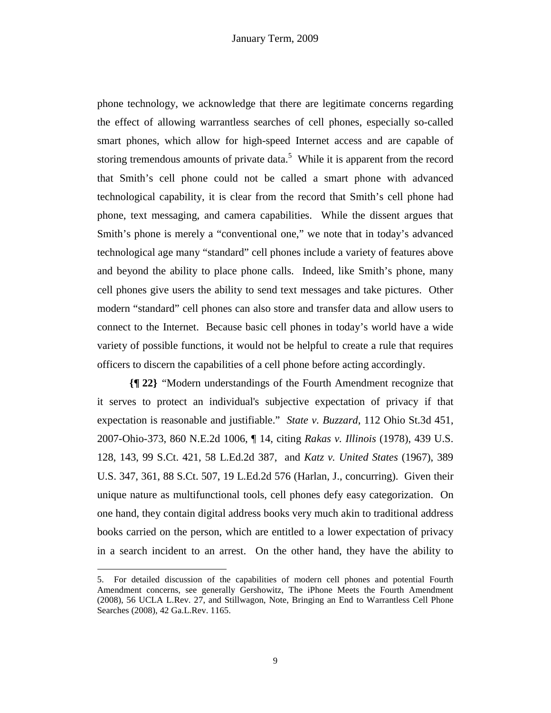phone technology, we acknowledge that there are legitimate concerns regarding the effect of allowing warrantless searches of cell phones, especially so-called smart phones, which allow for high-speed Internet access and are capable of storing tremendous amounts of private data.<sup>5</sup> While it is apparent from the record that Smith's cell phone could not be called a smart phone with advanced technological capability, it is clear from the record that Smith's cell phone had phone, text messaging, and camera capabilities. While the dissent argues that Smith's phone is merely a "conventional one," we note that in today's advanced technological age many "standard" cell phones include a variety of features above and beyond the ability to place phone calls. Indeed, like Smith's phone, many cell phones give users the ability to send text messages and take pictures. Other modern "standard" cell phones can also store and transfer data and allow users to connect to the Internet. Because basic cell phones in today's world have a wide variety of possible functions, it would not be helpful to create a rule that requires officers to discern the capabilities of a cell phone before acting accordingly.

**{¶ 22}** "Modern understandings of the Fourth Amendment recognize that it serves to protect an individual's subjective expectation of privacy if that expectation is reasonable and justifiable." *State v. Buzzard*, 112 Ohio St.3d 451, 2007-Ohio-373, 860 N.E.2d 1006, ¶ 14, citing *Rakas v. Illinois* (1978), 439 U.S. 128, 143, 99 S.Ct. 421, 58 L.Ed.2d 387, and *Katz v. United States* (1967), 389 U.S. 347, 361, 88 S.Ct. 507, 19 L.Ed.2d 576 (Harlan, J., concurring). Given their unique nature as multifunctional tools, cell phones defy easy categorization. On one hand, they contain digital address books very much akin to traditional address books carried on the person, which are entitled to a lower expectation of privacy in a search incident to an arrest. On the other hand, they have the ability to

<sup>5.</sup> For detailed discussion of the capabilities of modern cell phones and potential Fourth Amendment concerns, see generally Gershowitz, The iPhone Meets the Fourth Amendment (2008), 56 UCLA L.Rev. 27, and Stillwagon, Note, Bringing an End to Warrantless Cell Phone Searches (2008), 42 Ga.L.Rev. 1165.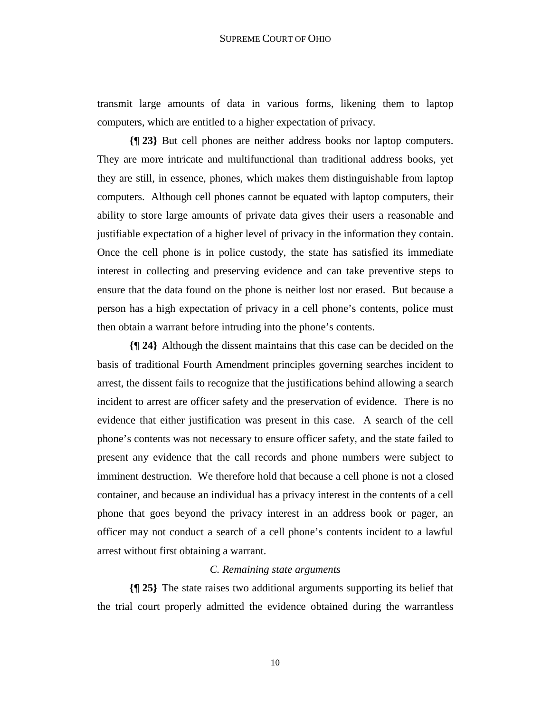transmit large amounts of data in various forms, likening them to laptop computers, which are entitled to a higher expectation of privacy.

**{¶ 23}** But cell phones are neither address books nor laptop computers. They are more intricate and multifunctional than traditional address books, yet they are still, in essence, phones, which makes them distinguishable from laptop computers. Although cell phones cannot be equated with laptop computers, their ability to store large amounts of private data gives their users a reasonable and justifiable expectation of a higher level of privacy in the information they contain. Once the cell phone is in police custody, the state has satisfied its immediate interest in collecting and preserving evidence and can take preventive steps to ensure that the data found on the phone is neither lost nor erased. But because a person has a high expectation of privacy in a cell phone's contents, police must then obtain a warrant before intruding into the phone's contents.

**{¶ 24}** Although the dissent maintains that this case can be decided on the basis of traditional Fourth Amendment principles governing searches incident to arrest, the dissent fails to recognize that the justifications behind allowing a search incident to arrest are officer safety and the preservation of evidence. There is no evidence that either justification was present in this case. A search of the cell phone's contents was not necessary to ensure officer safety, and the state failed to present any evidence that the call records and phone numbers were subject to imminent destruction. We therefore hold that because a cell phone is not a closed container, and because an individual has a privacy interest in the contents of a cell phone that goes beyond the privacy interest in an address book or pager, an officer may not conduct a search of a cell phone's contents incident to a lawful arrest without first obtaining a warrant.

## *C. Remaining state arguments*

**{¶ 25}** The state raises two additional arguments supporting its belief that the trial court properly admitted the evidence obtained during the warrantless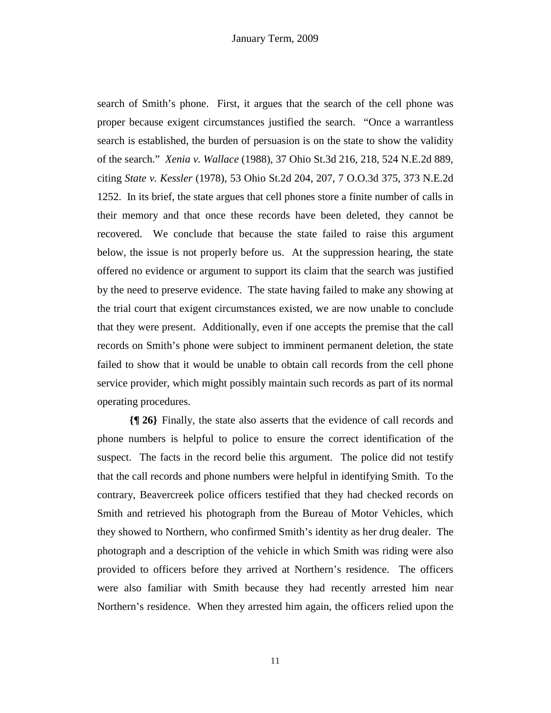search of Smith's phone. First, it argues that the search of the cell phone was proper because exigent circumstances justified the search. "Once a warrantless search is established, the burden of persuasion is on the state to show the validity of the search." *Xenia v. Wallace* (1988), 37 Ohio St.3d 216, 218, 524 N.E.2d 889, citing *State v. Kessler* (1978), 53 Ohio St.2d 204, 207, 7 O.O.3d 375, 373 N.E.2d 1252. In its brief, the state argues that cell phones store a finite number of calls in their memory and that once these records have been deleted, they cannot be recovered. We conclude that because the state failed to raise this argument below, the issue is not properly before us. At the suppression hearing, the state offered no evidence or argument to support its claim that the search was justified by the need to preserve evidence. The state having failed to make any showing at the trial court that exigent circumstances existed, we are now unable to conclude that they were present. Additionally, even if one accepts the premise that the call records on Smith's phone were subject to imminent permanent deletion, the state failed to show that it would be unable to obtain call records from the cell phone service provider, which might possibly maintain such records as part of its normal operating procedures.

**{¶ 26}** Finally, the state also asserts that the evidence of call records and phone numbers is helpful to police to ensure the correct identification of the suspect. The facts in the record belie this argument. The police did not testify that the call records and phone numbers were helpful in identifying Smith. To the contrary, Beavercreek police officers testified that they had checked records on Smith and retrieved his photograph from the Bureau of Motor Vehicles, which they showed to Northern, who confirmed Smith's identity as her drug dealer. The photograph and a description of the vehicle in which Smith was riding were also provided to officers before they arrived at Northern's residence. The officers were also familiar with Smith because they had recently arrested him near Northern's residence. When they arrested him again, the officers relied upon the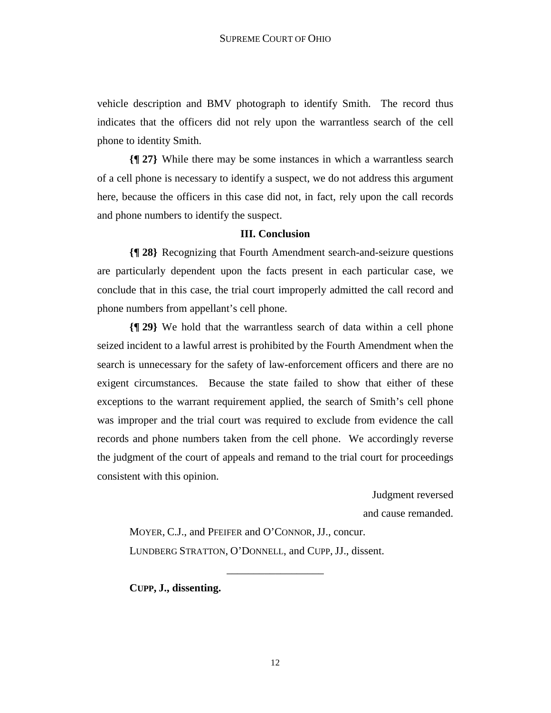vehicle description and BMV photograph to identify Smith. The record thus indicates that the officers did not rely upon the warrantless search of the cell phone to identity Smith.

**{¶ 27}** While there may be some instances in which a warrantless search of a cell phone is necessary to identify a suspect, we do not address this argument here, because the officers in this case did not, in fact, rely upon the call records and phone numbers to identify the suspect.

#### **III. Conclusion**

**{¶ 28}** Recognizing that Fourth Amendment search-and-seizure questions are particularly dependent upon the facts present in each particular case, we conclude that in this case, the trial court improperly admitted the call record and phone numbers from appellant's cell phone.

**{¶ 29}** We hold that the warrantless search of data within a cell phone seized incident to a lawful arrest is prohibited by the Fourth Amendment when the search is unnecessary for the safety of law-enforcement officers and there are no exigent circumstances. Because the state failed to show that either of these exceptions to the warrant requirement applied, the search of Smith's cell phone was improper and the trial court was required to exclude from evidence the call records and phone numbers taken from the cell phone. We accordingly reverse the judgment of the court of appeals and remand to the trial court for proceedings consistent with this opinion.

Judgment reversed

and cause remanded.

 MOYER, C.J., and PFEIFER and O'CONNOR, JJ., concur. LUNDBERG STRATTON, O'DONNELL, and CUPP, JJ., dissent.

 **CUPP, J., dissenting.** 

\_\_\_\_\_\_\_\_\_\_\_\_\_\_\_\_\_\_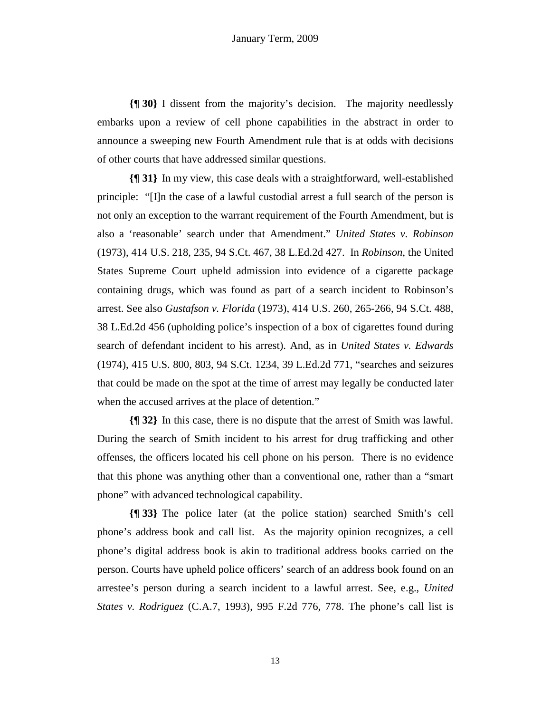**{¶ 30}** I dissent from the majority's decision. The majority needlessly embarks upon a review of cell phone capabilities in the abstract in order to announce a sweeping new Fourth Amendment rule that is at odds with decisions of other courts that have addressed similar questions.

**{¶ 31}** In my view, this case deals with a straightforward, well-established principle: "[I]n the case of a lawful custodial arrest a full search of the person is not only an exception to the warrant requirement of the Fourth Amendment, but is also a 'reasonable' search under that Amendment." *United States v. Robinson* (1973), 414 U.S. 218, 235, 94 S.Ct. 467, 38 L.Ed.2d 427. In *Robinson*, the United States Supreme Court upheld admission into evidence of a cigarette package containing drugs, which was found as part of a search incident to Robinson's arrest. See also *Gustafson v. Florida* (1973), 414 U.S. 260, 265-266, 94 S.Ct. 488, 38 L.Ed.2d 456 (upholding police's inspection of a box of cigarettes found during search of defendant incident to his arrest). And, as in *United States v. Edwards* (1974), 415 U.S. 800, 803, 94 S.Ct. 1234, 39 L.Ed.2d 771, "searches and seizures that could be made on the spot at the time of arrest may legally be conducted later when the accused arrives at the place of detention."

**{¶ 32}** In this case, there is no dispute that the arrest of Smith was lawful. During the search of Smith incident to his arrest for drug trafficking and other offenses, the officers located his cell phone on his person. There is no evidence that this phone was anything other than a conventional one, rather than a "smart phone" with advanced technological capability.

**{¶ 33}** The police later (at the police station) searched Smith's cell phone's address book and call list. As the majority opinion recognizes, a cell phone's digital address book is akin to traditional address books carried on the person. Courts have upheld police officers' search of an address book found on an arrestee's person during a search incident to a lawful arrest. See, e.g., *United States v. Rodriguez* (C.A.7, 1993), 995 F.2d 776, 778. The phone's call list is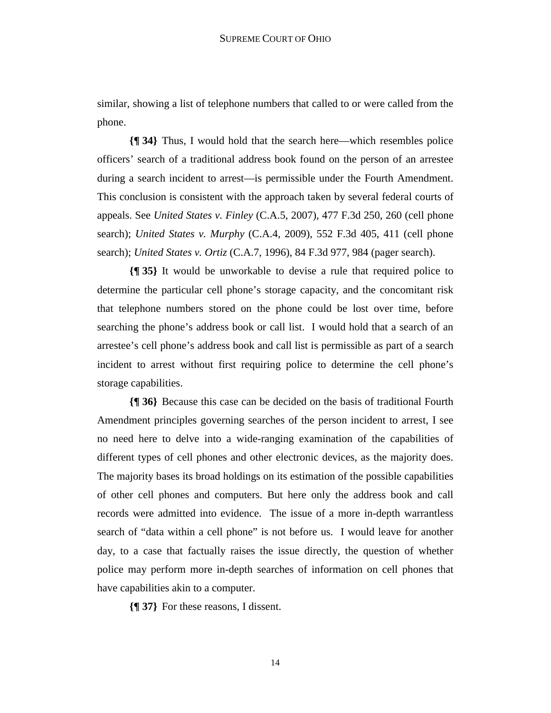similar, showing a list of telephone numbers that called to or were called from the phone.

**{¶ 34}** Thus, I would hold that the search here—which resembles police officers' search of a traditional address book found on the person of an arrestee during a search incident to arrest—is permissible under the Fourth Amendment. This conclusion is consistent with the approach taken by several federal courts of appeals. See *United States v. Finley* (C.A.5, 2007), 477 F.3d 250, 260 (cell phone search); *United States v. Murphy* (C.A.4, 2009), 552 F.3d 405, 411 (cell phone search); *United States v. Ortiz* (C.A.7, 1996), 84 F.3d 977, 984 (pager search).

**{¶ 35}** It would be unworkable to devise a rule that required police to determine the particular cell phone's storage capacity, and the concomitant risk that telephone numbers stored on the phone could be lost over time, before searching the phone's address book or call list. I would hold that a search of an arrestee's cell phone's address book and call list is permissible as part of a search incident to arrest without first requiring police to determine the cell phone's storage capabilities.

**{¶ 36}** Because this case can be decided on the basis of traditional Fourth Amendment principles governing searches of the person incident to arrest, I see no need here to delve into a wide-ranging examination of the capabilities of different types of cell phones and other electronic devices, as the majority does. The majority bases its broad holdings on its estimation of the possible capabilities of other cell phones and computers. But here only the address book and call records were admitted into evidence. The issue of a more in-depth warrantless search of "data within a cell phone" is not before us. I would leave for another day, to a case that factually raises the issue directly, the question of whether police may perform more in-depth searches of information on cell phones that have capabilities akin to a computer.

**{¶ 37}** For these reasons, I dissent.